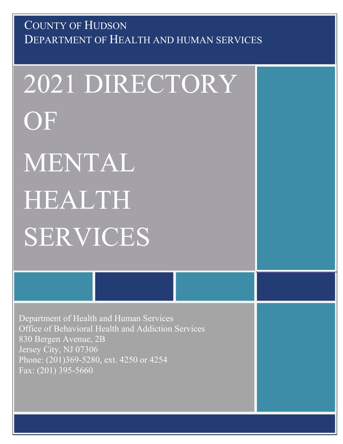# DEPARTMENT OF HEALTH AND HUMAN SERVICES COUNTY OF HUDSON

2021 DIRECTORY OF MENTAL HEALTH SERVICES

Department of Health and Human Services Office of Behavioral Health and Addiction Services 830 Bergen Avenue, 2B Jersey City, NJ 07306 Phone: (201)369-5280, ext. 4250 or 4254 Fax: (201) 395-5660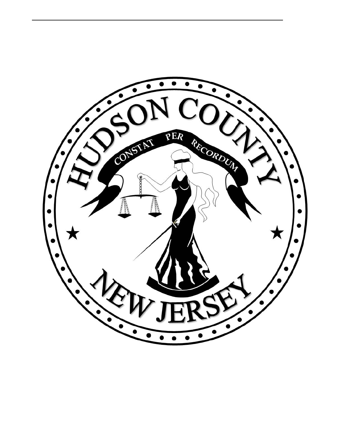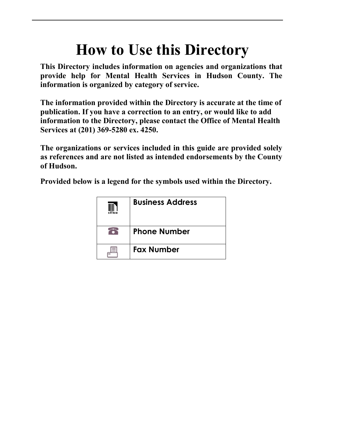# **How to Use this Directory**

**This Directory includes information on agencies and organizations that provide help for Mental Health Services in Hudson County. The information is organized by category of service.** 

**The information provided within the Directory is accurate at the time of publication. If you have a correction to an entry, or would like to add information to the Directory, please contact the Office of Mental Health Services at (201) 369-5280 ex. 4250.**

**The organizations or services included in this guide are provided solely as references and are not listed as intended endorsements by the County of Hudson.**

**Provided below is a legend for the symbols used within the Directory.**

| office | <b>Business Address</b> |
|--------|-------------------------|
|        | <b>Phone Number</b>     |
| $=$    | <b>Fax Number</b>       |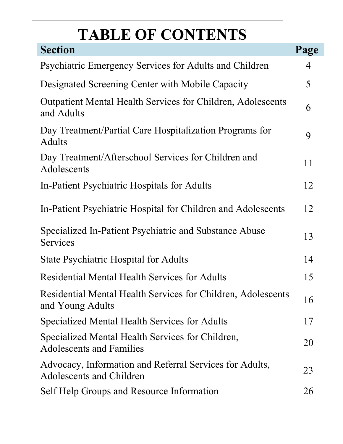# **TABLE OF CONTENTS**

| <b>Section</b>                                                                             | Page |
|--------------------------------------------------------------------------------------------|------|
| Psychiatric Emergency Services for Adults and Children                                     | 4    |
| Designated Screening Center with Mobile Capacity                                           | 5    |
| <b>Outpatient Mental Health Services for Children, Adolescents</b><br>and Adults           |      |
| Day Treatment/Partial Care Hospitalization Programs for<br><b>Adults</b>                   | 9    |
| Day Treatment/Afterschool Services for Children and<br>Adolescents                         |      |
| In-Patient Psychiatric Hospitals for Adults                                                | 12   |
| In-Patient Psychiatric Hospital for Children and Adolescents                               | 12   |
| Specialized In-Patient Psychiatric and Substance Abuse<br>Services                         |      |
| <b>State Psychiatric Hospital for Adults</b>                                               | 14   |
| <b>Residential Mental Health Services for Adults</b>                                       | 15   |
| Residential Mental Health Services for Children, Adolescents<br>and Young Adults           |      |
| Specialized Mental Health Services for Adults                                              | 17   |
| Specialized Mental Health Services for Children,<br>Adolescents and Families               |      |
| Advocacy, Information and Referral Services for Adults,<br><b>Adolescents and Children</b> | 23   |
| Self Help Groups and Resource Information                                                  | 26   |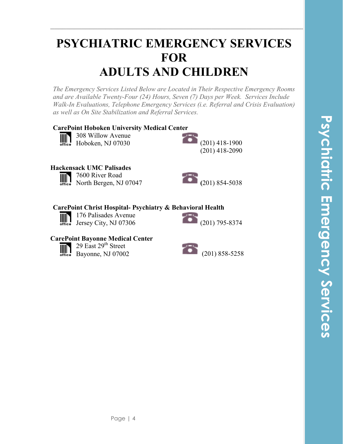# **PSYCHIATRIC EMERGENCY SERVICES FOR ADULTS AND CHILDREN**

**\_\_\_\_\_\_\_\_\_\_\_\_\_\_\_\_\_\_\_\_\_\_\_\_\_\_\_\_\_\_\_\_\_\_\_\_\_\_\_\_\_\_\_\_\_\_\_\_\_\_\_\_\_\_\_\_\_\_\_\_\_\_\_\_\_\_\_**

*The Emergency Services Listed Below are Located in Their Respective Emergency Rooms and are Available Twenty-Four (24) Hours, Seven (7) Days per Week. Services Include Walk-In Evaluations, Telephone Emergency Services (i.e. Referral and Crisis Evaluation) as well as On Site Stabilization and Referral Services.* 

### **CarePoint Hoboken University Medical Center**



308 Willow Avenue Hoboken, NJ 07030 (201) 418-1900



### **Hackensack UMC Palisades**

7600 River Road  $\mathbb{H}$ 



### **CarePoint Christ Hospital- Psychiatry & Behavioral Health**

176 Palisades Avenue 176 Palisades Avenue<br>Jersey City, NJ 07306 (201) 795-8374  $\mathbb{I}$ 



### **CarePoint Bayonne Medical Center**



29 East 29<sup>th</sup> Street Bayonne, NJ 07002(201) 858-5258

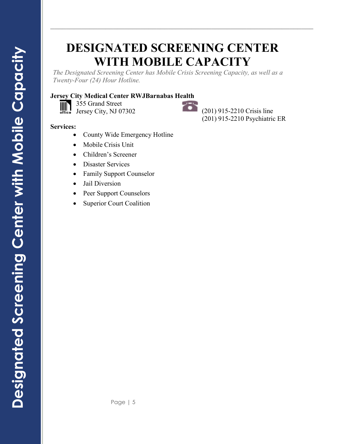# **DESIGNATED SCREENING CENTER WITH MOBILE CAPACITY**

**\_\_\_\_\_\_\_\_\_\_\_\_\_\_\_\_\_\_\_\_\_\_\_\_\_\_\_\_\_\_\_\_\_\_\_\_\_\_\_\_\_\_\_\_\_\_\_\_\_\_\_\_\_\_\_\_\_\_\_\_\_\_\_\_\_\_\_**

*The Designated Screening Center has Mobile Crisis Screening Capacity, as well as a Twenty-Four (24) Hour Hotline.*

### **Jersey City Medical Center RWJBarnabas Health**

355 Grand Street  $\left|\left|\left|\right|\right|\right|$ 355 Grand Street<br>Jersey City, NJ 07302 (201) 915-2210 Crisis line

(201) 915-2210 Psychiatric ER

- County Wide Emergency Hotline
- Mobile Crisis Unit
- Children's Screener
- Disaster Services
- Family Support Counselor
- Jail Diversion
- Peer Support Counselors
- **Superior Court Coalition**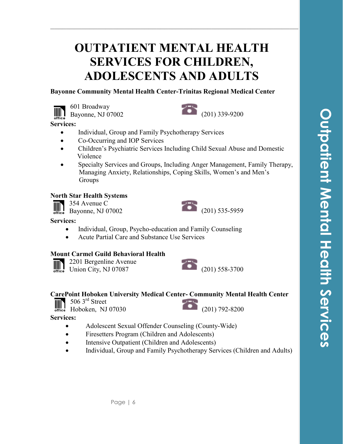# **OUTPATIENT MENTAL HEALTH SERVICES FOR CHILDREN, ADOLESCENTS AND ADULTS**

**\_\_\_\_\_\_\_\_\_\_\_\_\_\_\_\_\_\_\_\_\_\_\_\_\_\_\_\_\_\_\_\_\_\_\_\_\_\_\_\_\_\_\_\_\_\_\_\_\_\_\_\_\_\_\_\_\_\_\_\_\_\_\_\_\_\_\_**

### **Bayonne Community Mental Health Center-Trinitas Regional Medical Center**





### **Services:**

- Individual, Group and Family Psychotherapy Services
- Co-Occurring and IOP Services
- Children's Psychiatric Services Including Child Sexual Abuse and Domestic Violence
- Specialty Services and Groups, Including Anger Management, Family Therapy, Managing Anxiety, Relationships, Coping Skills, Women's and Men's Groups

### **North Star Health Systems**

354 Avenue C  $354$  Avenue C<br>Bayonne, NJ 07002 (201) 535-5959 IIIN

### **Services:**

- Individual, Group, Psycho-education and Family Counseling
- Acute Partial Care and Substance Use Services

### **Mount Carmel Guild Behavioral Health**



2201 Bergenline Avenue



# **CarePoint Hoboken University Medical Center- Community Mental Health Center**<br>506 3<sup>rd</sup> Street<br>In the NY 070000

506 3<sup>rd</sup> Street

 $\frac{1}{100}$  Hoboken, NJ 07030 (201) 792-8200

- Adolescent Sexual Offender Counseling (County-Wide)
- Firesetters Program (Children and Adolescents)
- Intensive Outpatient (Children and Adolescents)
- Individual, Group and Family Psychotherapy Services (Children and Adults)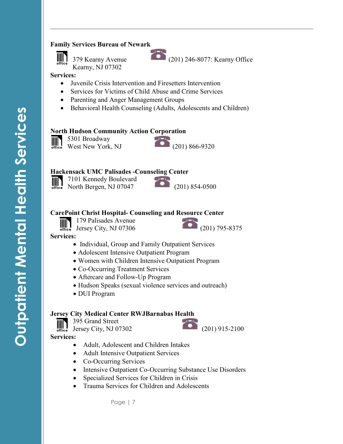### **Family Services Bureau of Newark**



Kearny, NJ 07302

**Services:** 

- Juvenile Crisis Intervention and Firesetters Intervention
- Services for Victims of Child Abuse and Crime Services
- Parenting and Anger Management Groups
- Behavioral Health Counseling (Adults, Adolescents and Children)

### **North Hudson Community Action Corporation**

5301 Broadway West New York, NJ (201) 866-9320



### **Hackensack UMC Palisades -Counseling Center**

7101 Kennedy Boulevard  $\begin{tabular}{|c|c|} \hline \quad \quad & \quad \quad & \quad \quad \\ \hline \quad \quad & \quad \quad & \quad \quad \\ \hline \quad \quad & \quad \quad & \quad \quad \\ \hline \quad \quad & \quad \quad & \quad \quad \\ \hline \quad \quad & \quad \quad & \quad \quad \\ \hline \quad \quad & \quad \quad & \quad \quad \\ \hline \quad \quad & \quad \quad & \quad \quad \\ \hline \quad \quad & \quad \quad & \quad \quad \\ \hline \quad \quad & \quad \quad & \quad \quad \\ \hline \quad \quad & \quad \quad & \quad \quad \\ \hline \quad \quad & \quad \quad & \quad \quad \\ \hline \quad \quad & \quad$ North Bergen, NJ 07047 (201) 854-0500



### **CarePoint Christ Hospital- Counseling and Resource Center**

179 Palisades Avenue  $\left|\left|\left|\right|\right|\right|$ 

Jersey City, NJ 07306 (201) 795-8375

**Services:**

- Individual, Group and Family Outpatient Services
- Adolescent Intensive Outpatient Program
- Women with Children Intensive Outpatient Program
- Co-Occurring Treatment Services
- Aftercare and Follow-Up Program
- Hudson Speaks (sexual violence services and outreach)
- DUI Program

### **Jersey City Medical Center RWJBarnabas Health**

395 Grand Street

IIII)

**Services:**

- Adult, Adolescent and Children Intakes
- Adult Intensive Outpatient Services
- Co-Occurring Services
- Intensive Outpatient Co-Occurring Substance Use Disorders
- Specialized Services for Children in Crisis
- Trauma Services for Children and Adolescents

Page | 7



**\_\_\_\_\_\_\_\_\_\_\_\_\_\_\_\_\_\_\_\_\_\_\_\_\_\_\_\_\_\_\_\_\_\_\_\_\_\_\_\_\_\_\_\_\_\_\_\_\_\_\_\_\_\_\_\_\_\_\_\_\_\_\_\_\_\_\_**

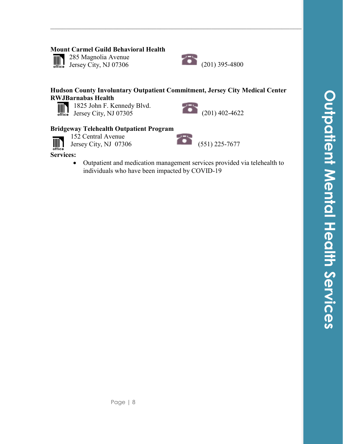### **Mount Carmel Guild Behavioral Health**

 $\overline{\lim_{\text{office}}}$ 

285 Magnolia Avenue



### **Hudson County Involuntary Outpatient Commitment, Jersey City Medical Center RWJBarnabas Health**

**\_\_\_\_\_\_\_\_\_\_\_\_\_\_\_\_\_\_\_\_\_\_\_\_\_\_\_\_\_\_\_\_\_\_\_\_\_\_\_\_\_\_\_\_\_\_\_\_\_\_\_\_\_\_\_\_\_\_\_\_\_\_\_\_\_\_\_**



1825 John F. Kennedy Blvd. 1825 John F. Kennedy Blvd.<br>Jersey City, NJ 07305 (201) 402-4622



### **Bridgeway Telehealth Outpatient Program**

152 Central Avenue

152 Central Avenue<br>Jersey City, NJ 07306 (551) 225-7677

 $\begin{tabular}{c} \hline \textbf{mm} \\ \textbf{office} \end{tabular}$ **Services:**

> • Outpatient and medication management services provided via telehealth to individuals who have been impacted by COVID-19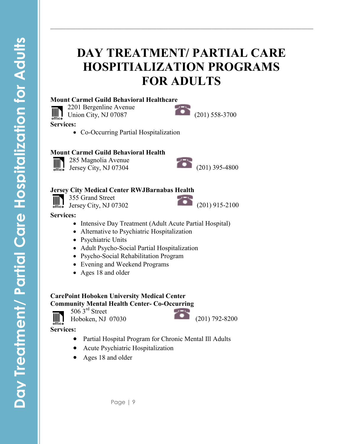# **DAY TREATMENT/ PARTIAL CARE HOSPITIALIZATION PROGRAMS FOR ADULTS**

**\_\_\_\_\_\_\_\_\_\_\_\_\_\_\_\_\_\_\_\_\_\_\_\_\_\_\_\_\_\_\_\_\_\_\_\_\_\_\_\_\_\_\_\_\_\_\_\_\_\_\_\_\_\_\_\_\_\_\_\_\_\_\_\_\_\_\_**

### **Mount Carmel Guild Behavioral Healthcare**

2201 Bergenline Avenue 2201 Bergenline Avenue<br>Union City, NJ 07087 (201) 558-3700 **IIII) Services:**

• Co-Occurring Partial Hospitalization

### **Mount Carmel Guild Behavioral Health**

285 Magnolia Avenue office

# 285 Magnolia Avenue<br>Jersey City, NJ 07304 (201) 395-4800

### **Jersey City Medical Center RWJBarnabas Health**

355 Grand Street IIIN Jersey City, NJ 07302 (201) 915-2100



**Services:**

- Intensive Day Treatment (Adult Acute Partial Hospital)
- Alternative to Psychiatric Hospitalization
- Psychiatric Units
- Adult Psycho-Social Partial Hospitalization
- Psycho-Social Rehabilitation Program
- Evening and Weekend Programs
- Ages 18 and older

### **CarePoint Hoboken University Medical Center Community Mental Health Center- Co-Occurring**

506<sup>3rd</sup> Street

office



- Partial Hospital Program for Chronic Mental III Adults
- Acute Psychiatric Hospitalization
- Ages 18 and older

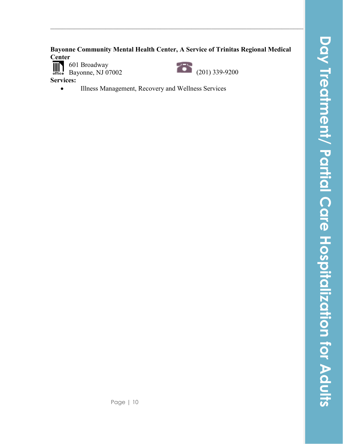# **Day Treatment/ Partial Care Hospitalization for Adults**Day Treatment/ Partial Care Hospitalization for Adults

# **Bayonne Community Mental Health Center, A Service of Trinitas Regional Medical Center**<br>**IIII** 601 Broadway

**\_\_\_\_\_\_\_\_\_\_\_\_\_\_\_\_\_\_\_\_\_\_\_\_\_\_\_\_\_\_\_\_\_\_\_\_\_\_\_\_\_\_\_\_\_\_\_\_\_\_\_\_\_\_\_\_\_\_\_\_\_\_\_\_\_\_\_**

601 Broadway Bayonne, NJ 07002 (201) 339-9200

**Services:**

• Illness Management, Recovery and Wellness Services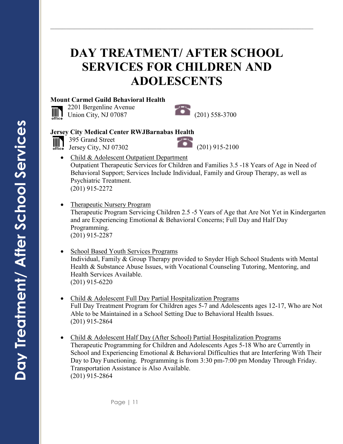# **DAY TREATMENT/ AFTER SCHOOL SERVICES FOR CHILDREN AND ADOLESCENTS**

**\_\_\_\_\_\_\_\_\_\_\_\_\_\_\_\_\_\_\_\_\_\_\_\_\_\_\_\_\_\_\_\_\_\_\_\_\_\_\_\_\_\_\_\_\_\_\_\_\_\_\_\_\_\_\_\_\_\_\_\_\_\_\_\_\_\_\_**

### **Mount Carmel Guild Behavioral Health**

2201 Bergenline Avenue 2201 Bergenline Avenue<br>Union City, NJ 07087 (201) 558-3700  $\overline{\lim}_{\text{office}}$ 



### **Jersey City Medical Center RWJBarnabas Health**

395 Grand Street

Jersey City, NJ 07302 (201) 915-2100

- Child & Adolescent Outpatient Department Outpatient Therapeutic Services for Children and Families 3.5 -18 Years of Age in Need of Behavioral Support; Services Include Individual, Family and Group Therapy, as well as Psychiatric Treatment. (201) 915-2272
- Therapeutic Nursery Program Therapeutic Program Servicing Children 2.5 -5 Years of Age that Are Not Yet in Kindergarten and are Experiencing Emotional & Behavioral Concerns; Full Day and Half Day Programming. (201) 915-2287
- School Based Youth Services Programs Individual, Family & Group Therapy provided to Snyder High School Students with Mental Health & Substance Abuse Issues, with Vocational Counseling Tutoring, Mentoring, and Health Services Available. (201) 915-6220
- Child & Adolescent Full Day Partial Hospitalization Programs Full Day Treatment Program for Children ages 5-7 and Adolescents ages 12-17, Who are Not Able to be Maintained in a School Setting Due to Behavioral Health Issues. (201) 915-2864
- Child & Adolescent Half Day (After School) Partial Hospitalization Programs Therapeutic Programming for Children and Adolescents Ages 5-18 Who are Currently in School and Experiencing Emotional & Behavioral Difficulties that are Interfering With Their Day to Day Functioning. Programming is from 3:30 pm-7:00 pm Monday Through Friday. Transportation Assistance is Also Available. (201) 915-2864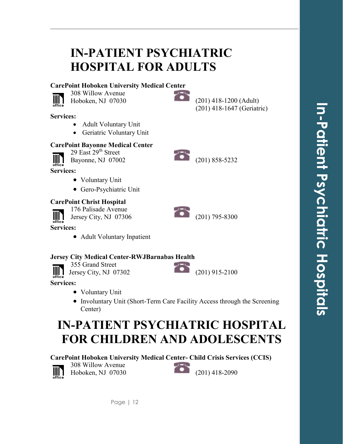# **IN-PATIENT PSYCHIATRIC HOSPITAL FOR ADULTS**

### **CarePoint Hoboken University Medical Center**

• Adult Voluntary Unit • Geriatric Voluntary Unit

**CarePoint Bayonne Medical Center** 29 East  $29<sup>th</sup>$  Street



**Services:**

308 Willow Avenue 308 Willow Avenue<br>Hoboken, NJ 07030 (201) 418-1200 (Adult)

**\_\_\_\_\_\_\_\_\_\_\_\_\_\_\_\_\_\_\_\_\_\_\_\_\_\_\_\_\_\_\_\_\_\_\_\_\_\_\_\_\_\_\_\_\_\_\_\_\_\_\_\_\_\_\_\_\_\_\_\_\_\_\_\_\_\_\_**

(201) 418-1647 (Geriatric)







IIIN

**Services:**

### **CarePoint Christ Hospital**

176 Palisade Avenue  $\mathbb{I}$ Jersey City, NJ 07306 (201) 795-8300

• Voluntary Unit

• Gero-Psychiatric Unit

**Services:**

• Adult Voluntary Inpatient

### **Jersey City Medical Center-RWJBarnabas Health**

Page | 12

355 Grand Street IIII) Jersey City, NJ 07302 (201) 915-2100

**Services:**

- Voluntary Unit
- Involuntary Unit (Short-Term Care Facility Access through the Screening Center)

# **IN-PATIENT PSYCHIATRIC HOSPITAL FOR CHILDREN AND ADOLESCENTS**

### **CarePoint Hoboken University Medical Center- Child Crisis Services (CCIS)**



308 Willow Avenue

Hoboken, NJ 07030 (201) 418-2090

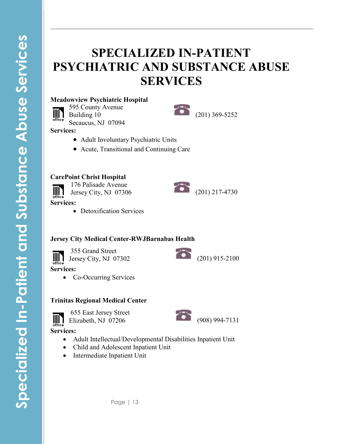# **SPECIALIZED IN-PATIENT PSYCHIATRIC AND SUBSTANCE ABUSE SERVICES**

**\_\_\_\_\_\_\_\_\_\_\_\_\_\_\_\_\_\_\_\_\_\_\_\_\_\_\_\_\_\_\_\_\_\_\_\_\_\_\_\_\_\_\_\_\_\_\_\_\_\_\_\_\_\_\_\_\_\_\_\_\_\_\_\_\_\_\_**

### **Meadowview Psychiatric Hospital**

595 County Avenue IIIN Building 10 Secaucus, NJ 07094



**Services:**

- Adult Involuntary Psychiatric Units
- Acute, Transitional and Continuing Care

### **CarePoint Christ Hospital**

176 Palisade Avenue 176 Palisade Avenue<br>Jersey City, NJ 07306 (201) 217-4730

 $\lim_{\text{office}}$ 

**Services:**

• Detoxification Services

### **Jersey City Medical Center-RWJBarnabas Health**

355 Grand Street 355 Grand Street<br>Jersey City, NJ 07302 (201) 915-2100  $\overline{\lim}_{\text{office}}$ **Services:**

- 
- Co-Occurring Services

### **Trinitas Regional Medical Center**



- Adult Intellectual/Developmental Disabilities Inpatient Unit
- Child and Adolescent Inpatient Unit
- Intermediate Inpatient Unit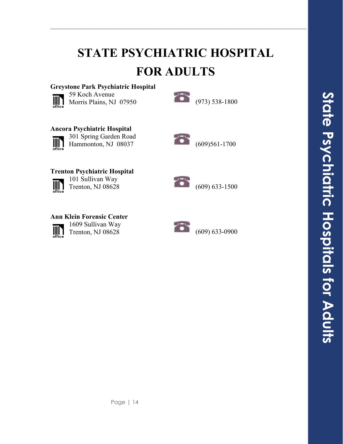# **STATE PSYCHIATRIC HOSPITAL FOR ADULTS**

**\_\_\_\_\_\_\_\_\_\_\_\_\_\_\_\_\_\_\_\_\_\_\_\_\_\_\_\_\_\_\_\_\_\_\_\_\_\_\_\_\_\_\_\_\_\_\_\_\_\_\_\_\_\_\_\_\_\_\_\_\_\_\_\_\_\_\_**

## **Greystone Park Psychiatric Hospital**



59 Koch Avenue 59 Koch Avenue<br>Morris Plains, NJ 07950 (973) 538-1800



# **Ancora Psychiatric Hospital**



301 Spring Garden Road



### **Trenton Psychiatric Hospital**

 $\lim_{\text{office}}$ 

101 Sullivan Way



**Ann Klein Forensic Center**



1609 Sullivan Way

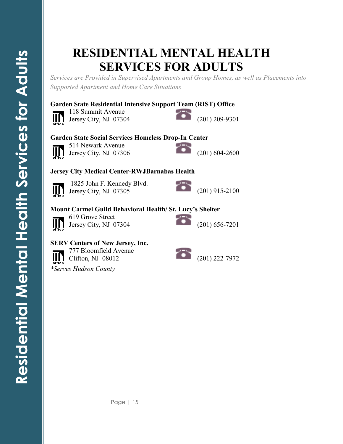# **RESIDENTIAL MENTAL HEALTH SERVICES FOR ADULTS**

*Services are Provided in Supervised Apartments and Group Homes, as well as Placements into Supported Apartment and Home Care Situations*

**\_\_\_\_\_\_\_\_\_\_\_\_\_\_\_\_\_\_\_\_\_\_\_\_\_\_\_\_\_\_\_\_\_\_\_\_\_\_\_\_\_\_\_\_\_\_\_\_\_\_\_\_\_\_\_\_\_\_\_\_\_\_\_\_\_\_\_**

### **Garden State Residential Intensive Support Team (RIST) Office**



118 Summit Avenue 118 Summit Avenue<br>Jersey City, NJ 07304 (201) 209-9301



### **Garden State Social Services Homeless Drop-In Center**



514 Newark Avenue 514 Newark Avenue<br>Jersey City, NJ 07306 (201) 604-2600



### **Jersey City Medical Center-RWJBarnabas Health**



1825 John F. Kennedy Blvd. 1825 John F. Kennedy Blvd.<br>Jersey City, NJ 07305 (201) 915-2100



### **Mount Carmel Guild Behavioral Health/ St. Lucy's Shelter**



619 Grove Street Jersey City, NJ 07304 (201) 656-7201



### **SERV Centers of New Jersey, Inc.**

777 Bloomfield Avenue TT/ Bloomfield Avenue<br>Clifton, NJ 08012 (201) 222-7972  $\mathbb{I}$ *\*Serves Hudson County*

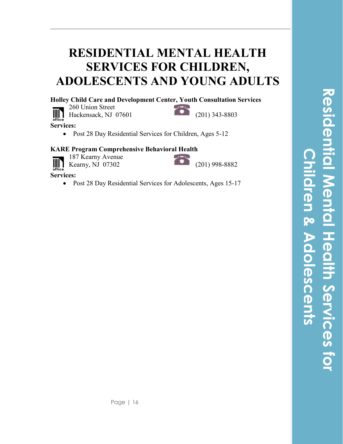# **RESIDENTIAL MENTAL HEALTH SERVICES FOR CHILDREN, ADOLESCENTS AND YOUNG ADULTS**

**\_\_\_\_\_\_\_\_\_\_\_\_\_\_\_\_\_\_\_\_\_\_\_\_\_\_\_\_\_\_\_\_\_\_\_\_\_\_\_\_\_\_\_\_\_\_\_\_\_\_\_\_\_\_\_\_\_\_\_\_\_\_\_\_\_\_\_**

**Holley Child Care and Development Center, Youth Consultation Services**

260 Union Street  $\lim_{\text{office}}$ 



**Services:**

• Post 28 Day Residential Services for Children, Ages 5-12

### **KARE Program Comprehensive Behavioral Health**

- 187 Kearny Avenue  $III<sub>1</sub>$ 
	-



**Services:**

• Post 28 Day Residential Services for Adolescents, Ages 15-17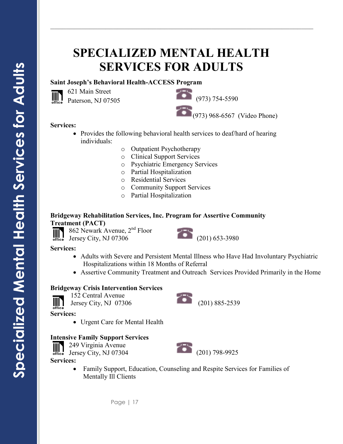# **SPECIALIZED MENTAL HEALTH SERVICES FOR ADULTS**

**\_\_\_\_\_\_\_\_\_\_\_\_\_\_\_\_\_\_\_\_\_\_\_\_\_\_\_\_\_\_\_\_\_\_\_\_\_\_\_\_\_\_\_\_\_\_\_\_\_\_\_\_\_\_\_\_\_\_\_\_\_\_\_\_\_\_\_**

### **Saint Joseph's Behavioral Health-ACCESS Program**

621 Main Street<br>Paterson, NJ 07505 (973) 754-5590 (973) 968-6567 (Video Phone)

### **Services:**

 $\overline{\mathbb{H}}$ 

621 Main Street

- Provides the following behavioral health services to deaf/hard of hearing individuals:
	- o Outpatient Psychotherapy
	- o Clinical Support Services
	- o Psychiatric Emergency Services
	- o Partial Hospitalization
	- o Residential Services
	- o Community Support Services
	- o Partial Hospitalization

### **Bridgeway Rehabilitation Services, Inc. Program for Assertive Community Treatment (PACT)**

862 Newark Avenue, 2nd Floor

**Services:**

- Adults with Severe and Persistent Mental Illness who Have Had Involuntary Psychiatric Hospitalizations within 18 Months of Referral
- Assertive Community Treatment and Outreach Services Provided Primarily in the Home

### **Bridgeway Crisis Intervention Services**

152 Central Avenue

 $\mathbb{I}$ Jersey City, NJ 07306 (201) 885-2539

**Services:**

• Urgent Care for Mental Health

### **Intensive Family Support Services**

249 Virginia Avenue

**Services:**

• Family Support, Education, Counseling and Respite Services for Families of Mentally Ill Clients







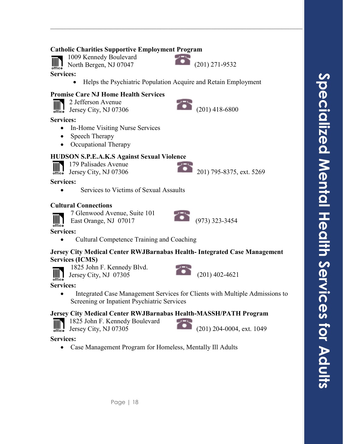### **Catholic Charities Supportive Employment Program**

1009 Kennedy Boulevard M North Bergen, NJ 07047 (201) 271-9532

- **Services:**
	- Helps the Psychiatric Population Acquire and Retain Employment

### **Promise Care NJ Home Health Services**

| $\mathbb{I}$ | 2 Jefferson Avenue                    |
|--------------|---------------------------------------|
|              | $L_{\text{max}} = \Omega L$ . MILATOR |

 $\frac{1}{201}$  Jersey City, NJ 07306 (201) 418-6800

**Services:**

- In-Home Visiting Nurse Services
- Speech Therapy
- Occupational Therapy

### **HUDSON S.P.E.A.K.S Against Sexual Violence**

179 Palisades Avenue

Jersey City, NJ 07306 201) 795-8375, ext. 5269

**Services:**

• Services to Victims of Sexual Assaults

### **Cultural Connections**

7 Glenwood Avenue, Suite 101

IIIN East Orange, NJ 07017 (973) 323-3454

**Services:**

• Cultural Competence Training and Coaching

### **Jersey City Medical Center RWJBarnabas Health- Integrated Case Management Services (ICMS)**

IIII 1

1825 John F. Kennedy Blvd.



**Services:**

• Integrated Case Management Services for Clients with Multiple Admissions to Screening or Inpatient Psychiatric Services

### **Jersey City Medical Center RWJBarnabas Health-MASSH/PATH Program**



1825 John F. Kennedy Boulevard

Jersey City, NJ 07305 (201) 204-0004, ext. 1049

### **Services:**

• Case Management Program for Homeless, Mentally Ill Adults



**\_\_\_\_\_\_\_\_\_\_\_\_\_\_\_\_\_\_\_\_\_\_\_\_\_\_\_\_\_\_\_\_\_\_\_\_\_\_\_\_\_\_\_\_\_\_\_\_\_\_\_\_\_\_\_\_\_\_\_\_\_\_\_\_\_\_\_**



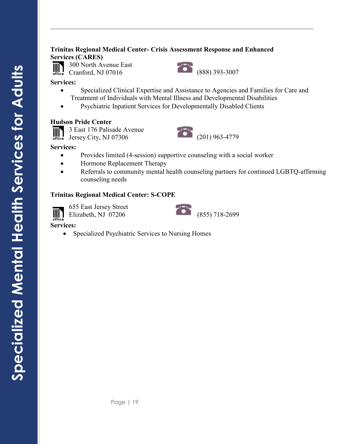### **Trinitas Regional Medical Center- Crisis Assessment Response and Enhanced Services (CARES)**

300 North Avenue East<br>Cranford, NJ 07016 (888) 393-3007 300 North Avenue East IIIN

**Services:**

• Specialized Clinical Expertise and Assistance to Agencies and Families for Care and Treatment of Individuals with Mental Illness and Developmental Disabilities

**\_\_\_\_\_\_\_\_\_\_\_\_\_\_\_\_\_\_\_\_\_\_\_\_\_\_\_\_\_\_\_\_\_\_\_\_\_\_\_\_\_\_\_\_\_\_\_\_\_\_\_\_\_\_\_\_\_\_\_\_\_\_\_\_\_\_\_**

• Psychiatric Inpatient Services for Developmentally Disabled Clients

### **Hudson Pride Center**

3 East 176 Palisade Avenue 3 East 176 Palisade Avenue<br>Jersey City, NJ 07306 (201) 963-4779

### **Services:**

- Provides limited (4-session) supportive counseling with a social worker
- Hormone Replacement Therapy
- Referrals to community mental health counseling partners for continued LGBTQ-affirming counseling needs

### **Trinitas Regional Medical Center: S-COPE**

 $\left|\left|\left|\right|\right|\right|$ 

655 East Jersey Street



**Services:**

• Specialized Psychiatric Services to Nursing Homes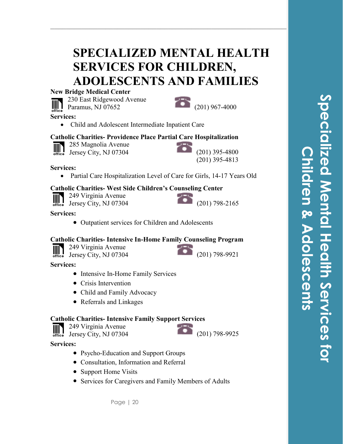# **SPECIALIZED MENTAL HEALTH SERVICES FOR CHILDREN, ADOLESCENTS AND FAMILIES**

**\_\_\_\_\_\_\_\_\_\_\_\_\_\_\_\_\_\_\_\_\_\_\_\_\_\_\_\_\_\_\_\_\_\_\_\_\_\_\_\_\_\_\_\_\_\_\_\_\_\_\_\_\_\_\_\_\_\_\_\_\_\_\_\_\_\_\_**

### **New Bridge Medical Center**



Paramus, NJ 07652 (201) 967-4000



**Services:**

• Child and Adolescent Intermediate Inpatient Care

### **Catholic Charities- Providence Place Partial Care Hospitalization**



285 Magnolia Avenue

# Jersey City, NJ 07304 (201) 395-4800

(201) 395-4813

### **Services:**

• Partial Care Hospitalization Level of Care for Girls, 14-17 Years Old

### **Catholic Charities- West Side Children's Counseling Center**

249 Virginia Avenue IIII Jersey City, NJ 07304 (201) 798-2165



### **Services:**

• Outpatient services for Children and Adolescents

### **Catholic Charities- Intensive In-Home Family Counseling Program**

249 Virginia Avenue



**Services:**

- Intensive In-Home Family Services
- Crisis Intervention
- Child and Family Advocacy
- Referrals and Linkages

### **Catholic Charities- Intensive Family Support Services**

III 249 Virginia Avenue Jersey City, NJ 07304 (201) 798-9925

### **Services:**

- Psycho-Education and Support Groups
- Consultation, Information and Referral
- Support Home Visits
- Services for Caregivers and Family Members of Adults

Page | 20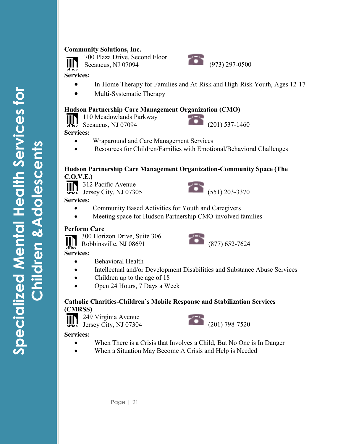### **Community Solutions, Inc.**



700 Plaza Drive, Second Floor Secaucus, NJ 07094 (973) 297-0500



**Services:**

• In-Home Therapy for Families and At-Risk and High-Risk Youth, Ages 12-17

**\_\_\_\_\_\_\_\_\_\_\_\_\_\_\_\_\_\_\_\_\_\_\_\_\_\_\_\_\_\_\_\_\_\_\_\_\_\_\_\_\_\_\_\_\_\_\_\_\_\_\_\_\_\_\_\_\_\_\_\_\_\_\_\_\_\_\_**

• Multi-Systematic Therapy

### **Hudson Partnership Care Management Organization (CMO)**

110 Meadowlands Parkway 

Secaucus, NJ 07094 (201) 537-1460

**Services:**

- Wraparound and Care Management Services
- Resources for Children/Families with Emotional/Behavioral Challenges

### **Hudson Partnership Care Management Organization-Community Space (The C.O.V.E.)**

**312 Pacific Avenue** 



**Services:**

- Community Based Activities for Youth and Caregivers
- Meeting space for Hudson Partnership CMO-involved families

### **Perform Care**

300 Horizon Drive, Suite 306



**Services:** 

- Behavioral Health
- Intellectual and/or Development Disabilities and Substance Abuse Services
- Children up to the age of 18
- Open 24 Hours, 7 Days a Week

### **Catholic Charities-Children's Mobile Response and Stabilization Services (CMRSS)**





- When There is a Crisis that Involves a Child, But No One is In Danger
- When a Situation May Become A Crisis and Help is Needed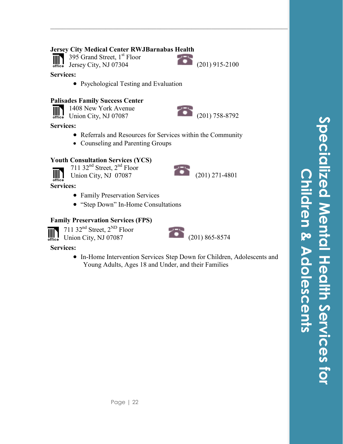### **Jersey City Medical Center RWJBarnabas Health**

395 Grand Street, 1<sup>st</sup> Floor  $III$ office

Jersey City, NJ 07304 (201) 915-2100

**\_\_\_\_\_\_\_\_\_\_\_\_\_\_\_\_\_\_\_\_\_\_\_\_\_\_\_\_\_\_\_\_\_\_\_\_\_\_\_\_\_\_\_\_\_\_\_\_\_\_\_\_\_\_\_\_\_\_\_\_\_\_\_\_\_\_\_**

### **Services:**

• Psychological Testing and Evaluation

### **Palisades Family Success Center**

1408 New York Avenue 1408 New York Avenue<br>Union City, NJ 07087 (201) 758-8792 

### **Services:**

- Referrals and Resources for Services within the Community
- Counseling and Parenting Groups

### **Youth Consultation Services (YCS)**



711 32<sup>nd</sup> Street, 2<sup>nd</sup> Floor

V<sub>11</sub> 52 Bacci, 2 11661<br>Union City, NJ 07087 (201) 271-4801

**Services:**

- Family Preservation Services
- "Step Down" In-Home Consultations

### **Family Preservation Services (FPS)**



**Services:**

• In-Home Intervention Services Step Down for Children, Adolescents and Young Adults, Ages 18 and Under, and their Families

**Specialized Mental Health Services for pecialized Mental Health Services for Children & Adolescents**en & Adolescents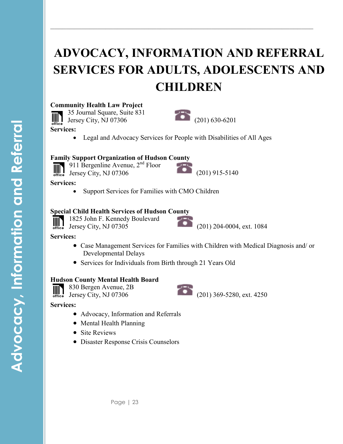# **ADVOCACY, INFORMATION AND REFERRAL SERVICES FOR ADULTS, ADOLESCENTS AND CHILDREN**

**\_\_\_\_\_\_\_\_\_\_\_\_\_\_\_\_\_\_\_\_\_\_\_\_\_\_\_\_\_\_\_\_\_\_\_\_\_\_\_\_\_\_\_\_\_\_\_\_\_\_\_\_\_\_\_\_\_\_\_\_\_\_\_\_\_\_\_**

### **Community Health Law Project**

35 Journal Square, Suite 831 Jersey City, NJ 07306 (201) 630-6201 WN.

**Services:**

• Legal and Advocacy Services for People with Disabilities of All Ages

### **Family Support Organization of Hudson County**

911 Bergenline Avenue,  $2<sup>nd</sup>$  Floor IIII Jersey City, NJ 07306 (201) 915-5140

**Services:**

Support Services for Families with CMO Children

### **Special Child Health Services of Hudson County**

1825 John F. Kennedy Boulevard

Jersey City, NJ 07305 (201) 204-0004, ext. 1084

### **Services:**

- Case Management Services for Families with Children with Medical Diagnosis and/ or Developmental Delays
- Services for Individuals from Birth through 21 Years Old

### **Hudson County Mental Health Board**

830 Bergen Avenue, 2B  $\mathbb{H}$ 



- Advocacy, Information and Referrals
- Mental Health Planning
- Site Reviews
- Disaster Response Crisis Counselors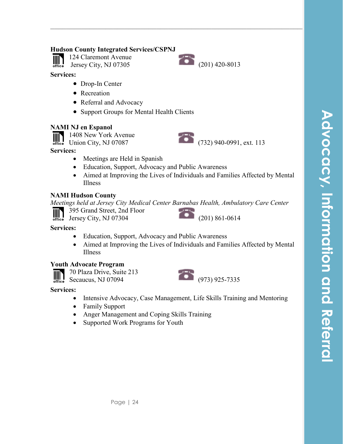### **Hudson County Integrated Services/CSPNJ**

124 Claremont Avenue Jersey City, NJ 07305 (201) 420-8013

**Services:**

office

- Drop-In Center
- Recreation
- Referral and Advocacy
- Support Groups for Mental Health Clients

### **NAMI NJ en Espanol**

1408 New York Avenue  $\mathbb{I}$ 

### **Services:**

- Meetings are Held in Spanish
- Education, Support, Advocacy and Public Awareness
- Aimed at Improving the Lives of Individuals and Families Affected by Mental Illness

**\_\_\_\_\_\_\_\_\_\_\_\_\_\_\_\_\_\_\_\_\_\_\_\_\_\_\_\_\_\_\_\_\_\_\_\_\_\_\_\_\_\_\_\_\_\_\_\_\_\_\_\_\_\_\_\_\_\_\_\_\_\_\_\_\_\_\_**

### **NAMI Hudson County**

*Meetings held at Jersey City Medical Center Barnabas Health, Ambulatory Care Center*

395 Grand Street, 2nd Floor

Jersey City, NJ 07304 (201) 861-0614

### **Services:**

- Education, Support, Advocacy and Public Awareness
- Aimed at Improving the Lives of Individuals and Families Affected by Mental Illness

### **Youth Advocate Program**



### **Services:**

- Intensive Advocacy, Case Management, Life Skills Training and Mentoring
- Family Support
- Anger Management and Coping Skills Training
- Supported Work Programs for Youth







1408 New York Avenue<br>Union City, NJ 07087 (732) 940-0991, ext. 113

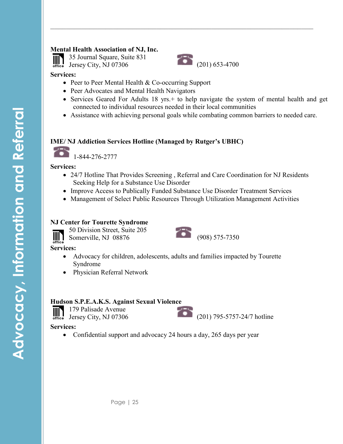### **Mental Health Association of NJ, Inc.**

35 Journal Square, Suite 831



### **Services:**

- Peer to Peer Mental Health & Co-occurring Support
- Peer Advocates and Mental Health Navigators
- Services Geared For Adults 18 yrs.+ to help navigate the system of mental health and get connected to individual resources needed in their local communities
- Assistance with achieving personal goals while combating common barriers to needed care.

**\_\_\_\_\_\_\_\_\_\_\_\_\_\_\_\_\_\_\_\_\_\_\_\_\_\_\_\_\_\_\_\_\_\_\_\_\_\_\_\_\_\_\_\_\_\_\_\_\_\_\_\_\_\_\_\_\_\_\_\_\_\_\_\_\_\_\_**

### **IME/ NJ Addiction Services Hotline (Managed by Rutger's UBHC)**

1-844-276-2777

**Services:**

- 24/7 Hotline That Provides Screening, Referral and Care Coordination for NJ Residents Seeking Help for a Substance Use Disorder
- Improve Access to Publically Funded Substance Use Disorder Treatment Services
- Management of Select Public Resources Through Utilization Management Activities

### **NJ Center for Tourette Syndrome**



50 Division Street, Suite 205 50 Division Street, Suite 205<br>
Somerville, NJ 08876 (908) 575-7350  $\blacksquare$ 



**Services:**

- Advocacy for children, adolescents, adults and families impacted by Tourette Syndrome
- Physician Referral Network

### **Hudson S.P.E.A.K.S. Against Sexual Violence**

179 Palisade Avenue  $\begin{array}{c} \hline \text{min} \\ \text{office} \end{array}$ Jersey City, NJ 07306 (201) 795-5757-24/7 hotline



### **Services:**

• Confidential support and advocacy 24 hours a day, 265 days per year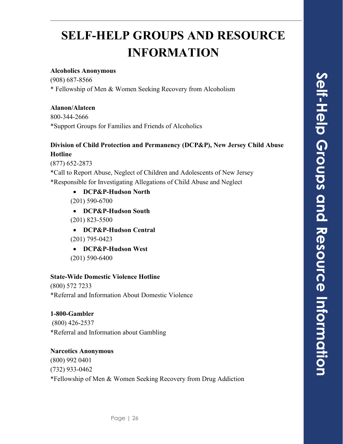# **SELF-HELP GROUPS AND RESOURCE INFORMATION**

**\_\_\_\_\_\_\_\_\_\_\_\_\_\_\_\_\_\_\_\_\_\_\_\_\_\_\_\_\_\_\_\_\_\_\_\_\_\_\_\_\_\_\_\_\_\_\_\_\_\_\_\_\_\_\_\_\_\_\_\_\_\_\_\_\_\_\_**

### **Alcoholics Anonymous**

(908) 687-8566 \* Fellowship of Men & Women Seeking Recovery from Alcoholism

### **Alanon/Alateen**

800-344-2666 \*Support Groups for Families and Friends of Alcoholics

### **Division of Child Protection and Permanency (DCP&P), New Jersey Child Abuse Hotline**

(877) 652-2873

\*Call to Report Abuse, Neglect of Children and Adolescents of New Jersey \*Responsible for Investigating Allegations of Child Abuse and Neglect

• **DCP&P-Hudson North** (201) 590-6700

• **DCP&P-Hudson South** (201) 823-5500

- **DCP&P-Hudson Central** (201) 795-0423
- **DCP&P-Hudson West**
- (201) 590-6400

### **State-Wide Domestic Violence Hotline**

(800) 572 7233 \*Referral and Information About Domestic Violence

### **1-800-Gambler**

(800) 426-2537 \*Referral and Information about Gambling

### **Narcotics Anonymous** (800) 992 0401 (732) 933-0462 \*Fellowship of Men & Women Seeking Recovery from Drug Addiction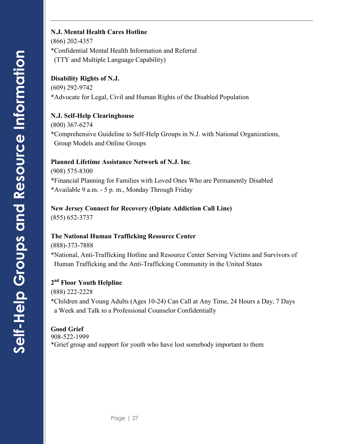### **N.J. Mental Health Cares Hotline**

(866) 202-4357 \*Confidential Mental Health Information and Referral (TTY and Multiple Language Capability)

### **Disability Rights of N.J.**

(609) 292-9742 \*Advocate for Legal, Civil and Human Rights of the Disabled Population

### **N.J. Self-Help Clearinghouse**

(800) 367-6274 \*Comprehensive Guideline to Self-Help Groups in N.J. with National Organizations, Group Models and Online Groups

**\_\_\_\_\_\_\_\_\_\_\_\_\_\_\_\_\_\_\_\_\_\_\_\_\_\_\_\_\_\_\_\_\_\_\_\_\_\_\_\_\_\_\_\_\_\_\_\_\_\_\_\_\_\_\_\_\_\_\_\_\_\_\_\_\_\_\_**

### **Planned Lifetime Assistance Network of N.J. Inc**.

(908) 575-8300

\*Financial Planning for Families with Loved Ones Who are Permanently Disabled \*Available 9 a.m. - 5 p. m., Monday Through Friday

### **New Jersey Connect for Recovery (Opiate Addiction Call Line)**

(855) 652-3737

### **The National Human Trafficking Resource Center**

(888)-373-7888

\*National, Anti-Trafficking Hotline and Resource Center Serving Victims and Survivors of Human Trafficking and the Anti-Trafficking Community in the United States

### **2nd Floor Youth Helpline**

(888) 222-2228

\*Children and Young Adults (Ages 10-24) Can Call at Any Time, 24 Hours a Day, 7 Days a Week and Talk to a Professional Counselor Confidentially

### **Good Grief**

908-522-1999

\*Grief group and support for youth who have lost somebody important to them